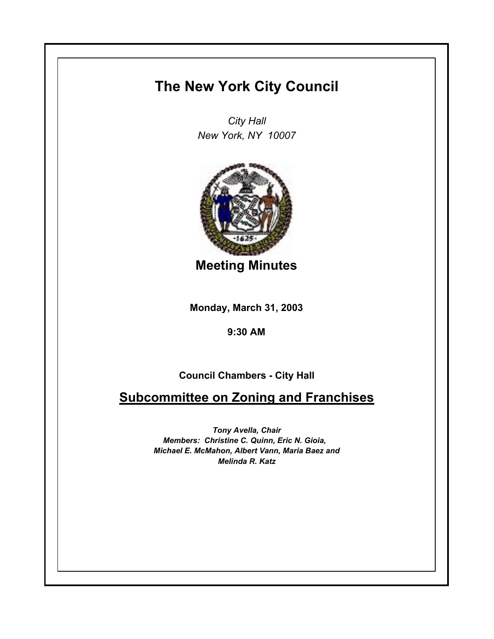## **The New York City Council**

*City Hall New York, NY 10007*



**Meeting Minutes**

**Monday, March 31, 2003**

**9:30 AM**

**Council Chambers - City Hall**

**Subcommittee on Zoning and Franchises**

*Tony Avella, Chair Members: Christine C. Quinn, Eric N. Gioia, Michael E. McMahon, Albert Vann, Maria Baez and Melinda R. Katz*